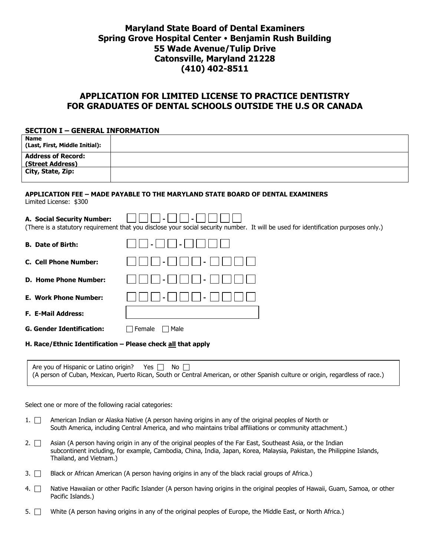# **Maryland State Board of Dental Examiners Spring Grove Hospital Center Benjamin Rush Building 55 Wade Avenue/Tulip Drive Catonsville, Maryland 21228 (410) 402-8511**

# **APPLICATION FOR LIMITED LICENSE TO PRACTICE DENTISTRY FOR GRADUATES OF DENTAL SCHOOLS OUTSIDE THE U.S OR CANADA**

#### **SECTION I – GENERAL INFORMATION**

| <b>Name</b><br>(Last, First, Middle Initial): |                                                                                                                                                     |
|-----------------------------------------------|-----------------------------------------------------------------------------------------------------------------------------------------------------|
| <b>Address of Record:</b><br>(Street Address) |                                                                                                                                                     |
| City, State, Zip:                             |                                                                                                                                                     |
| Limited License: \$300                        | APPLICATION FEE - MADE PAYABLE TO THE MARYLAND STATE BOARD OF DENTAL EXAMINERS                                                                      |
| A. Social Security Number:                    | (There is a statutory requirement that you disclose your social security number. It will be used for identification purposes only.)                 |
| <b>B.</b> Date of Birth:                      |                                                                                                                                                     |
| C. Cell Phone Number:                         |                                                                                                                                                     |
| <b>D. Home Phone Number:</b>                  |                                                                                                                                                     |
| <b>E. Work Phone Number:</b>                  |                                                                                                                                                     |
| <b>F. E-Mail Address:</b>                     |                                                                                                                                                     |
| <b>G. Gender Identification:</b>              | Male<br>Female<br>$\mathbf{I}$                                                                                                                      |
|                                               | H. Race/Ethnic Identification - Please check all that apply                                                                                         |
| Are you of Hispanic or Latino origin?         | Yes $\Box$<br>No.<br>(A person of Cuban, Mexican, Puerto Rican, South or Central American, or other Spanish culture or origin, regardless of race.) |

Select one or more of the following racial categories:

- 1. <sup>American Indian or Alaska Native (A person having origins in any of the original peoples of North or</sup> South America, including Central America, and who maintains tribal affiliations or community attachment.)
- 2.  $\Box$  Asian (A person having origin in any of the original peoples of the Far East, Southeast Asia, or the Indian subcontinent including, for example, Cambodia, China, India, Japan, Korea, Malaysia, Pakistan, the Philippine Islands, Thailand, and Vietnam.)
- 3. Black or African American (A person having origins in any of the black racial groups of Africa.)
- 4.  $\Box$  Native Hawaiian or other Pacific Islander (A person having origins in the original peoples of Hawaii, Guam, Samoa, or other Pacific Islands.)
- 5.  $\Box$  White (A person having origins in any of the original peoples of Europe, the Middle East, or North Africa.)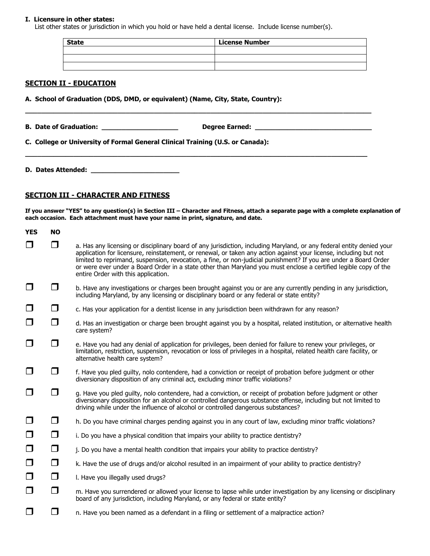#### **I. Licensure in other states:**

List other states or jurisdiction in which you hold or have held a dental license. Include license number(s).

| <b>State</b> | <b>License Number</b> |
|--------------|-----------------------|
|              |                       |
|              |                       |
|              |                       |

#### **SECTION II - EDUCATION**

**A. School of Graduation (DDS, DMD, or equivalent) (Name, City, State, Country):** 

| <b>B. Date of Graduation:</b> | <b>Degree Earned:</b> |  |
|-------------------------------|-----------------------|--|
|                               |                       |  |

**\_\_\_\_\_\_\_\_\_\_\_\_\_\_\_\_\_\_\_\_\_\_\_\_\_\_\_\_\_\_\_\_\_\_\_\_\_\_\_\_\_\_\_\_\_\_\_\_\_\_\_\_\_\_\_\_\_\_\_\_\_\_\_\_\_\_\_\_\_\_\_\_\_\_\_\_\_\_\_\_\_\_\_\_\_**

**\_\_\_\_\_\_\_\_\_\_\_\_\_\_\_\_\_\_\_\_\_\_\_\_\_\_\_\_\_\_\_\_\_\_\_\_\_\_\_\_\_\_\_\_\_\_\_\_\_\_\_\_\_\_\_\_\_\_\_\_\_\_\_\_\_\_\_\_\_\_\_\_\_\_\_\_\_\_\_\_\_\_\_\_\_\_**

**C. College or University of Formal General Clinical Training (U.S. or Canada):**

**D. Dates Attended: \_\_\_\_\_\_\_\_\_\_\_\_\_\_\_\_\_\_\_\_\_\_**

#### **SECTION III - CHARACTER AND FITNESS**

**If you answer "YES" to any question(s) in Section III – Character and Fitness, attach a separate page with a complete explanation of each occasion. Each attachment must have your name in print, signature, and date.**

| <b>YES</b> | <b>NO</b> |                                                                                                                                                                                                                                                                                                                                                                                                                                                                                                                           |
|------------|-----------|---------------------------------------------------------------------------------------------------------------------------------------------------------------------------------------------------------------------------------------------------------------------------------------------------------------------------------------------------------------------------------------------------------------------------------------------------------------------------------------------------------------------------|
| $\Box$     | ⊓         | a. Has any licensing or disciplinary board of any jurisdiction, including Maryland, or any federal entity denied your<br>application for licensure, reinstatement, or renewal, or taken any action against your license, including but not<br>limited to reprimand, suspension, revocation, a fine, or non-judicial punishment? If you are under a Board Order<br>or were ever under a Board Order in a state other than Maryland you must enclose a certified legible copy of the<br>entire Order with this application. |
| $\Box$     | $\Box$    | b. Have any investigations or charges been brought against you or are any currently pending in any jurisdiction,<br>including Maryland, by any licensing or disciplinary board or any federal or state entity?                                                                                                                                                                                                                                                                                                            |
| $\Box$     | $\Box$    | c. Has your application for a dentist license in any jurisdiction been withdrawn for any reason?                                                                                                                                                                                                                                                                                                                                                                                                                          |
| $\Box$     | $\Box$    | d. Has an investigation or charge been brought against you by a hospital, related institution, or alternative health<br>care system?                                                                                                                                                                                                                                                                                                                                                                                      |
| $\Box$     | $\Box$    | e. Have you had any denial of application for privileges, been denied for failure to renew your privileges, or<br>limitation, restriction, suspension, revocation or loss of privileges in a hospital, related health care facility, or<br>alternative health care system?                                                                                                                                                                                                                                                |
| ப          | $\Box$    | f. Have you pled guilty, nolo contendere, had a conviction or receipt of probation before judgment or other<br>diversionary disposition of any criminal act, excluding minor traffic violations?                                                                                                                                                                                                                                                                                                                          |
| $\Box$     | □         | g. Have you pled guilty, nolo contendere, had a conviction, or receipt of probation before judgment or other<br>diversionary disposition for an alcohol or controlled dangerous substance offense, including but not limited to<br>driving while under the influence of alcohol or controlled dangerous substances?                                                                                                                                                                                                       |
| $\Box$     | $\Box$    | h. Do you have criminal charges pending against you in any court of law, excluding minor traffic violations?                                                                                                                                                                                                                                                                                                                                                                                                              |
| $\Box$     | $\Box$    | i. Do you have a physical condition that impairs your ability to practice dentistry?                                                                                                                                                                                                                                                                                                                                                                                                                                      |
| $\Box$     | $\Box$    | j. Do you have a mental health condition that impairs your ability to practice dentistry?                                                                                                                                                                                                                                                                                                                                                                                                                                 |
| $\Box$     | $\Box$    | k. Have the use of drugs and/or alcohol resulted in an impairment of your ability to practice dentistry?                                                                                                                                                                                                                                                                                                                                                                                                                  |
| $\Box$     | $\Box$    | I. Have you illegally used drugs?                                                                                                                                                                                                                                                                                                                                                                                                                                                                                         |
| $\Box$     | $\Box$    | m. Have you surrendered or allowed your license to lapse while under investigation by any licensing or disciplinary<br>board of any jurisdiction, including Maryland, or any federal or state entity?                                                                                                                                                                                                                                                                                                                     |
| $\Box$     | $\Box$    | n. Have you been named as a defendant in a filing or settlement of a malpractice action?                                                                                                                                                                                                                                                                                                                                                                                                                                  |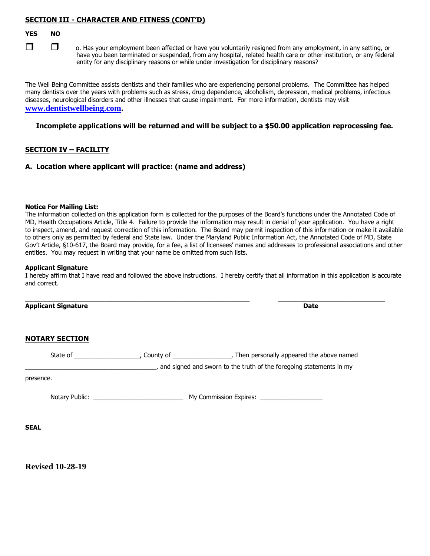## **SECTION III - CHARACTER AND FITNESS (CONT'D)**

#### **YES NO**



 o. Has your employment been affected or have you voluntarily resigned from any employment, in any setting, or have you been terminated or suspended, from any hospital, related health care or other institution, or any federal entity for any disciplinary reasons or while under investigation for disciplinary reasons?

The Well Being Committee assists dentists and their families who are experiencing personal problems. The Committee has helped many dentists over the years with problems such as stress, drug dependence, alcoholism, depression, medical problems, infectious diseases, neurological disorders and other illnesses that cause impairment. For more information, dentists may visit **[www.dentistwellbeing.com](http://www.denistwellbeing,com/).**

#### **Incomplete applications will be returned and will be subject to a \$50.00 application reprocessing fee.**

## **SECTION IV – FACILITY**

**A. Location where applicant will practice: (name and address)**

#### **Notice For Mailing List:**

The information collected on this application form is collected for the purposes of the Board's functions under the Annotated Code of MD, Health Occupations Article, Title 4. Failure to provide the information may result in denial of your application. You have a right to inspect, amend, and request correction of this information. The Board may permit inspection of this information or make it available to others only as permitted by federal and State law. Under the Maryland Public Information Act, the Annotated Code of MD, State Gov't Article, §10-617, the Board may provide, for a fee, a list of licensees' names and addresses to professional associations and other entities. You may request in writing that your name be omitted from such lists.

#### **Applicant Signature**

I hereby affirm that I have read and followed the above instructions. I hereby certify that all information in this application is accurate and correct.

 $\_$  ,  $\_$  ,  $\_$  ,  $\_$  ,  $\_$  ,  $\_$  ,  $\_$  ,  $\_$  ,  $\_$  ,  $\_$  ,  $\_$  ,  $\_$  ,  $\_$  ,  $\_$  ,  $\_$  ,  $\_$  ,  $\_$  ,  $\_$  ,  $\_$  ,  $\_$  ,  $\_$  ,  $\_$  ,  $\_$  ,  $\_$  ,  $\_$  ,  $\_$  ,  $\_$  ,  $\_$  ,  $\_$  ,  $\_$  ,  $\_$  ,  $\_$  ,  $\_$  ,  $\_$  ,  $\_$  ,  $\_$  ,  $\_$  ,

**Applicant Signature Date**

### **NOTARY SECTION**

| State of  | County of ______________________, Then personally appeared the above named |
|-----------|----------------------------------------------------------------------------|
|           | , and signed and sworn to the truth of the foregoing statements in my      |
| presence. |                                                                            |
|           |                                                                            |
| SEAL      |                                                                            |
|           |                                                                            |

**Revised 10-28-19**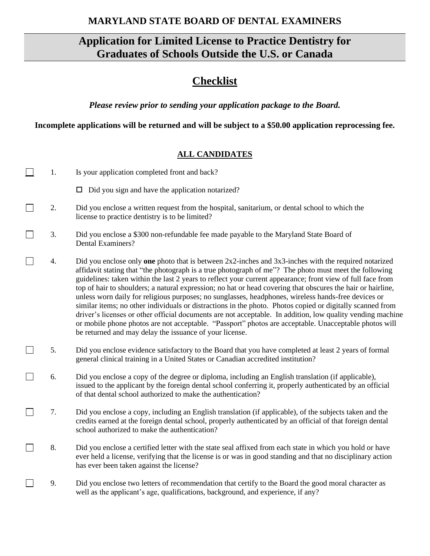# **MARYLAND STATE BOARD OF DENTAL EXAMINERS**

# **Application for Limited License to Practice Dentistry for Graduates of Schools Outside the U.S. or Canada**

# **Checklist**

*Please review prior to sending your application package to the Board.*

**Incomplete applications will be returned and will be subject to a \$50.00 application reprocessing fee.**

# **ALL CANDIDATES**

| 1. | Is your application completed front and back?                                                                                                                                                                                                                                                                                                                                                                                                                                                                                                                                                                                                                                                                                                                                                                                                                                                                                                          |
|----|--------------------------------------------------------------------------------------------------------------------------------------------------------------------------------------------------------------------------------------------------------------------------------------------------------------------------------------------------------------------------------------------------------------------------------------------------------------------------------------------------------------------------------------------------------------------------------------------------------------------------------------------------------------------------------------------------------------------------------------------------------------------------------------------------------------------------------------------------------------------------------------------------------------------------------------------------------|
|    | $\Box$ Did you sign and have the application notarized?                                                                                                                                                                                                                                                                                                                                                                                                                                                                                                                                                                                                                                                                                                                                                                                                                                                                                                |
| 2. | Did you enclose a written request from the hospital, sanitarium, or dental school to which the<br>license to practice dentistry is to be limited?                                                                                                                                                                                                                                                                                                                                                                                                                                                                                                                                                                                                                                                                                                                                                                                                      |
| 3. | Did you enclose a \$300 non-refundable fee made payable to the Maryland State Board of<br>Dental Examiners?                                                                                                                                                                                                                                                                                                                                                                                                                                                                                                                                                                                                                                                                                                                                                                                                                                            |
| 4. | Did you enclose only one photo that is between $2x2$ -inches and $3x3$ -inches with the required notarized<br>affidavit stating that "the photograph is a true photograph of me"? The photo must meet the following<br>guidelines: taken within the last 2 years to reflect your current appearance; front view of full face from<br>top of hair to shoulders; a natural expression; no hat or head covering that obscures the hair or hairline,<br>unless worn daily for religious purposes; no sunglasses, headphones, wireless hands-free devices or<br>similar items; no other individuals or distractions in the photo. Photos copied or digitally scanned from<br>driver's licenses or other official documents are not acceptable. In addition, low quality vending machine<br>or mobile phone photos are not acceptable. "Passport" photos are acceptable. Unacceptable photos will<br>be returned and may delay the issuance of your license. |
| 5. | Did you enclose evidence satisfactory to the Board that you have completed at least 2 years of formal<br>general clinical training in a United States or Canadian accredited institution?                                                                                                                                                                                                                                                                                                                                                                                                                                                                                                                                                                                                                                                                                                                                                              |
| 6. | Did you enclose a copy of the degree or diploma, including an English translation (if applicable),<br>issued to the applicant by the foreign dental school conferring it, properly authenticated by an official<br>of that dental school authorized to make the authentication?                                                                                                                                                                                                                                                                                                                                                                                                                                                                                                                                                                                                                                                                        |
| 7. | Did you enclose a copy, including an English translation (if applicable), of the subjects taken and the<br>credits earned at the foreign dental school, properly authenticated by an official of that foreign dental<br>school authorized to make the authentication?                                                                                                                                                                                                                                                                                                                                                                                                                                                                                                                                                                                                                                                                                  |
| 8. | Did you enclose a certified letter with the state seal affixed from each state in which you hold or have<br>ever held a license, verifying that the license is or was in good standing and that no disciplinary action<br>has ever been taken against the license?                                                                                                                                                                                                                                                                                                                                                                                                                                                                                                                                                                                                                                                                                     |
| 9. | Did you enclose two letters of recommendation that certify to the Board the good moral character as<br>well as the applicant's age, qualifications, background, and experience, if any?                                                                                                                                                                                                                                                                                                                                                                                                                                                                                                                                                                                                                                                                                                                                                                |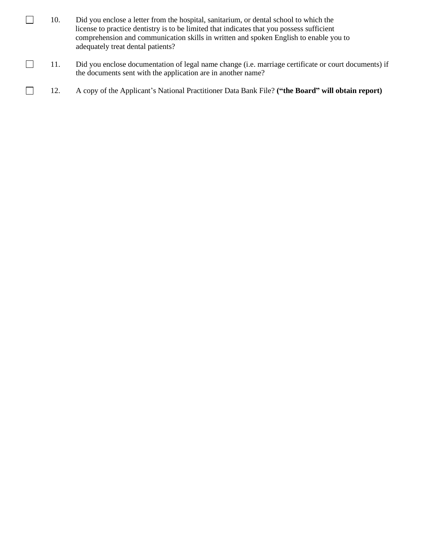- $\Box$ 10. Did you enclose a letter from the hospital, sanitarium, or dental school to which the license to practice dentistry is to be limited that indicates that you possess sufficient comprehension and communication skills in written and spoken English to enable you to adequately treat dental patients?
- $\Box$ 11. Did you enclose documentation of legal name change (i.e. marriage certificate or court documents) if the documents sent with the application are in another name?
- $\Box$ 12. A copy of the Applicant's National Practitioner Data Bank File? **("the Board" will obtain report)**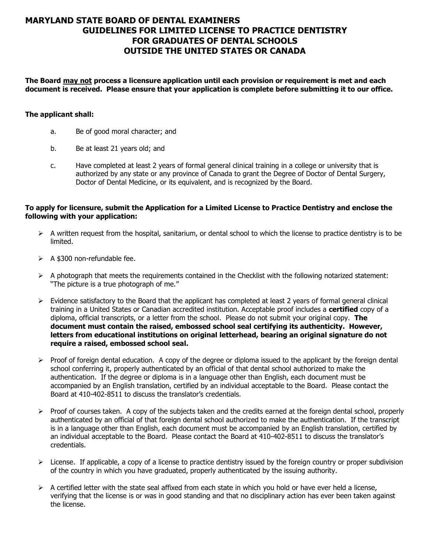# **MARYLAND STATE BOARD OF DENTAL EXAMINERS GUIDELINES FOR LIMITED LICENSE TO PRACTICE DENTISTRY FOR GRADUATES OF DENTAL SCHOOLS OUTSIDE THE UNITED STATES OR CANADA**

**The Board may not process a licensure application until each provision or requirement is met and each document is received. Please ensure that your application is complete before submitting it to our office.**

### **The applicant shall:**

- a. Be of good moral character; and
- b. Be at least 21 years old; and
- c. Have completed at least 2 years of formal general clinical training in a college or university that is authorized by any state or any province of Canada to grant the Degree of Doctor of Dental Surgery, Doctor of Dental Medicine, or its equivalent, and is recognized by the Board.

### **To apply for licensure, submit the Application for a Limited License to Practice Dentistry and enclose the following with your application:**

- $\triangleright$  A written request from the hospital, sanitarium, or dental school to which the license to practice dentistry is to be limited.
- $\geq$  A \$300 non-refundable fee.
- $\triangleright$  A photograph that meets the requirements contained in the Checklist with the following notarized statement: "The picture is a true photograph of me."
- ➢ Evidence satisfactory to the Board that the applicant has completed at least 2 years of formal general clinical training in a United States or Canadian accredited institution. Acceptable proof includes a **certified** copy of a diploma, official transcripts, or a letter from the school. Please do not submit your original copy. **The document must contain the raised, embossed school seal certifying its authenticity. However, letters from educational institutions on original letterhead, bearing an original signature do not require a raised, embossed school seal.**
- $\triangleright$  Proof of foreign dental education. A copy of the degree or diploma issued to the applicant by the foreign dental school conferring it, properly authenticated by an official of that dental school authorized to make the authentication. If the degree or diploma is in a language other than English, each document must be accompanied by an English translation, certified by an individual acceptable to the Board. Please contact the Board at 410-402-8511 to discuss the translator's credentials.
- $\triangleright$  Proof of courses taken. A copy of the subjects taken and the credits earned at the foreign dental school, properly authenticated by an official of that foreign dental school authorized to make the authentication. If the transcript is in a language other than English, each document must be accompanied by an English translation, certified by an individual acceptable to the Board. Please contact the Board at 410-402-8511 to discuss the translator's credentials.
- $\triangleright$  License. If applicable, a copy of a license to practice dentistry issued by the foreign country or proper subdivision of the country in which you have graduated, properly authenticated by the issuing authority.
- $\triangleright$  A certified letter with the state seal affixed from each state in which you hold or have ever held a license, verifying that the license is or was in good standing and that no disciplinary action has ever been taken against the license.